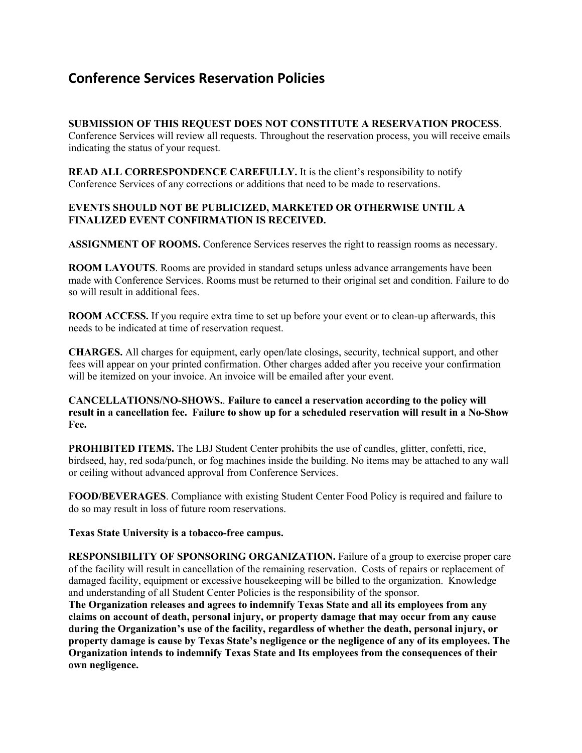## **Conference Services Reservation Policies**

## **SUBMISSION OF THIS REQUEST DOES NOT CONSTITUTE A RESERVATION PROCESS**.

Conference Services will review all requests. Throughout the reservation process, you will receive emails indicating the status of your request.

**READ ALL CORRESPONDENCE CAREFULLY.** It is the client's responsibility to notify Conference Services of any corrections or additions that need to be made to reservations.

## **EVENTS SHOULD NOT BE PUBLICIZED, MARKETED OR OTHERWISE UNTIL A FINALIZED EVENT CONFIRMATION IS RECEIVED.**

**ASSIGNMENT OF ROOMS.** Conference Services reserves the right to reassign rooms as necessary.

**ROOM LAYOUTS**. Rooms are provided in standard setups unless advance arrangements have been made with Conference Services. Rooms must be returned to their original set and condition. Failure to do so will result in additional fees.

**ROOM ACCESS.** If you require extra time to set up before your event or to clean-up afterwards, this needs to be indicated at time of reservation request.

**CHARGES.** All charges for equipment, early open/late closings, security, technical support, and other fees will appear on your printed confirmation. Other charges added after you receive your confirmation will be itemized on your invoice. An invoice will be emailed after your event.

## **CANCELLATIONS/NO-SHOWS.**. **Failure to cancel a reservation according to the policy will result in a cancellation fee. Failure to show up for a scheduled reservation will result in a No-Show Fee.**

**PROHIBITED ITEMS.** The LBJ Student Center prohibits the use of candles, glitter, confetti, rice, birdseed, hay, red soda/punch, or fog machines inside the building. No items may be attached to any wall or ceiling without advanced approval from Conference Services.

**FOOD/BEVERAGES**. Compliance with existing Student Center Food Policy is required and failure to do so may result in loss of future room reservations.

**Texas State University is a tobacco-free campus.**

**RESPONSIBILITY OF SPONSORING ORGANIZATION.** Failure of a group to exercise proper care of the facility will result in cancellation of the remaining reservation. Costs of repairs or replacement of damaged facility, equipment or excessive housekeeping will be billed to the organization. Knowledge and understanding of all Student Center Policies is the responsibility of the sponsor.

**The Organization releases and agrees to indemnify Texas State and all its employees from any claims on account of death, personal injury, or property damage that may occur from any cause during the Organization's use of the facility, regardless of whether the death, personal injury, or property damage is cause by Texas State's negligence or the negligence of any of its employees. The Organization intends to indemnify Texas State and Its employees from the consequences of their own negligence.**